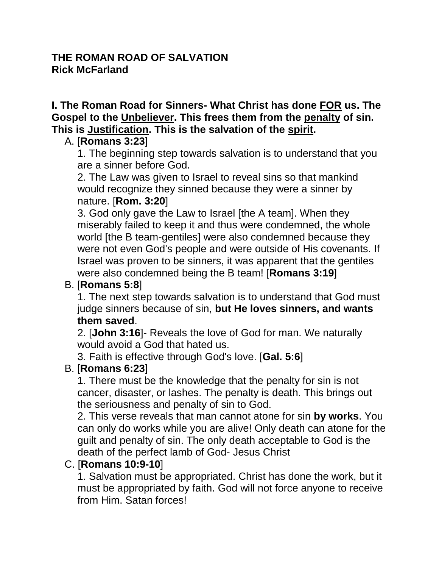### **THE ROMAN ROAD OF SALVATION Rick McFarland**

### **I. The Roman Road for Sinners- What Christ has done FOR us. The Gospel to the Unbeliever. This frees them from the penalty of sin. This is Justification. This is the salvation of the spirit.**

# A. [**Romans 3:23**]

1. The beginning step towards salvation is to understand that you are a sinner before God.

2. The Law was given to Israel to reveal sins so that mankind would recognize they sinned because they were a sinner by nature. [**Rom. 3:20**]

3. God only gave the Law to Israel [the A team]. When they miserably failed to keep it and thus were condemned, the whole world [the B team-gentiles] were also condemned because they were not even God's people and were outside of His covenants. If Israel was proven to be sinners, it was apparent that the gentiles were also condemned being the B team! [**Romans 3:19**]

### B. [**Romans 5:8**]

1. The next step towards salvation is to understand that God must judge sinners because of sin, **but He loves sinners, and wants them saved**.

2. [**John 3:16**]- Reveals the love of God for man. We naturally would avoid a God that hated us.

3. Faith is effective through God's love. [**Gal. 5:6**]

### B. [**Romans 6:23**]

1. There must be the knowledge that the penalty for sin is not cancer, disaster, or lashes. The penalty is death. This brings out the seriousness and penalty of sin to God.

2. This verse reveals that man cannot atone for sin **by works**. You can only do works while you are alive! Only death can atone for the guilt and penalty of sin. The only death acceptable to God is the death of the perfect lamb of God- Jesus Christ

### C. [**Romans 10:9-10**]

1. Salvation must be appropriated. Christ has done the work, but it must be appropriated by faith. God will not force anyone to receive from Him. Satan forces!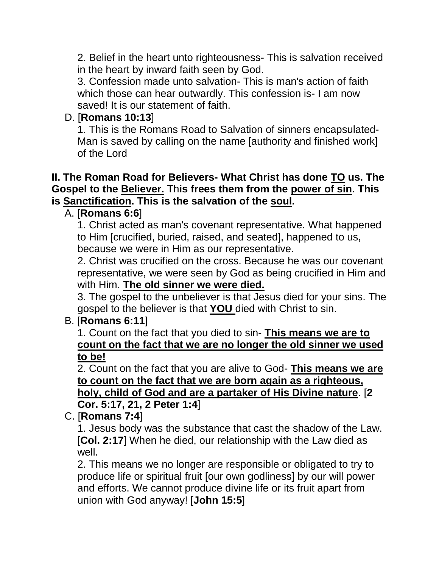2. Belief in the heart unto righteousness- This is salvation received in the heart by inward faith seen by God.

3. Confession made unto salvation- This is man's action of faith which those can hear outwardly. This confession is- I am now saved! It is our statement of faith.

## D. [**Romans 10:13**]

1. This is the Romans Road to Salvation of sinners encapsulated-Man is saved by calling on the name [authority and finished work] of the Lord

### **II. The Roman Road for Believers- What Christ has done TO us. The Gospel to the Believer.** Th**is frees them from the power of sin**. **This is Sanctification. This is the salvation of the soul.**

### A. [**Romans 6:6**]

1. Christ acted as man's covenant representative. What happened to Him [crucified, buried, raised, and seated], happened to us, because we were in Him as our representative.

2. Christ was crucified on the cross. Because he was our covenant representative, we were seen by God as being crucified in Him and with Him. **The old sinner we were died.**

3. The gospel to the unbeliever is that Jesus died for your sins. The gospel to the believer is that **YOU** died with Christ to sin.

# B. [**Romans 6:11**]

1. Count on the fact that you died to sin- **This means we are to count on the fact that we are no longer the old sinner we used to be!**

2. Count on the fact that you are alive to God- **This means we are to count on the fact that we are born again as a righteous, holy, child of God and are a partaker of His Divine nature**. [**2 Cor. 5:17, 21, 2 Peter 1:4**]

# C. [**Romans 7:4**]

1. Jesus body was the substance that cast the shadow of the Law. [**Col. 2:17**] When he died, our relationship with the Law died as well.

2. This means we no longer are responsible or obligated to try to produce life or spiritual fruit [our own godliness] by our will power and efforts. We cannot produce divine life or its fruit apart from union with God anyway! [**John 15:5**]